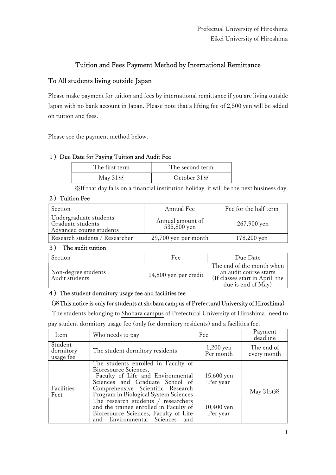# Tuition and Fees Payment Method by International Remittance

# To All students living outside Japan

Please make payment for tuition and fees by international remittance if you are living outside Japan with no bank account in Japan. Please note that a lifting fee of 2,500 yen will be added on tuition and fees.

Please see the payment method below.

## 1) Due Date for Paying Tuition and Audit Fee

| The first term | The second term         |
|----------------|-------------------------|
| May $31\%$     | October 31 <sup>*</sup> |

※If that day falls on a financial institution holiday, it will be the next business day.

### 2) Tuition Fee

| Section                                                                 | Annual Fee                      | Fee for the half term |
|-------------------------------------------------------------------------|---------------------------------|-----------------------|
| Undergraduate students<br>Graduate students<br>Advanced course students | Annual amount of<br>535,800 yen | 267,900 yen           |
| Research students / Researcher                                          | 29,700 yen per month            | 178,200 yen           |

#### 3) The audit tuition

| Section                               | Fee                   | Due Date                                                                                                     |
|---------------------------------------|-----------------------|--------------------------------------------------------------------------------------------------------------|
| Non-degree students<br>Audit students | 14,800 yen per credit | The end of the month when<br>an audit course starts<br>(If classes start in April, the<br>due is end of May) |

## 4)The student dormitory usage fee and facilities fee

## (※This notice is only for students at shobara campus of Prefectural University of Hiroshima)

The students belonging to Shobara campus of Prefectural University of Hiroshima need to

pay student dormitory usage fee (only for dormitory residents) and a facilities fee.

| Item                              | Who needs to pay                                                                                                                                                                                                   | Fee                      | Payment<br>deadline       |
|-----------------------------------|--------------------------------------------------------------------------------------------------------------------------------------------------------------------------------------------------------------------|--------------------------|---------------------------|
| Student<br>dormitory<br>usage fee | The student dormitory residents                                                                                                                                                                                    | $1,200$ yen<br>Per month | The end of<br>every month |
| Facilities<br>Feet                | The students enrolled in Faculty of<br>Bioresource Sciences,<br>Faculty of Life and Environmental<br>Sciences and Graduate School of<br>Comprehensive Scientific Research<br>Program in Biological System Sciences | $15,600$ yen<br>Per year | May $31st\%$              |
|                                   | The research students / researchers<br>and the trainee enrolled in Faculty of<br>Bioresource Sciences, Faculty of Life<br>and Environmental Sciences<br>and                                                        | $10,400$ yen<br>Per year |                           |